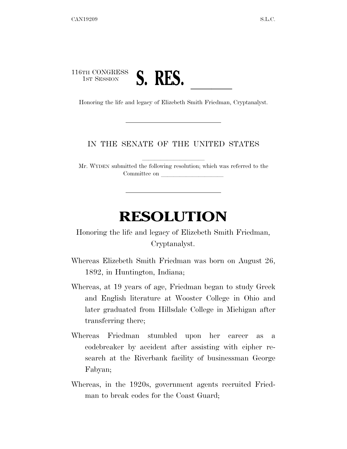## 116TH CONGRESS 1ST SESSION **S. RES. ID. ID. ID. ELIZEBED. Honoring the life and legacy of Elizebeth Smith Friedman, Cryptanalyst.**

## IN THE SENATE OF THE UNITED STATES

Mr. WYDEN submitted the following resolution; which was referred to the Committee on

## **RESOLUTION**

Honoring the life and legacy of Elizebeth Smith Friedman, Cryptanalyst.

- Whereas Elizebeth Smith Friedman was born on August 26, 1892, in Huntington, Indiana;
- Whereas, at 19 years of age, Friedman began to study Greek and English literature at Wooster College in Ohio and later graduated from Hillsdale College in Michigan after transferring there;
- Whereas Friedman stumbled upon her career as a codebreaker by accident after assisting with cipher research at the Riverbank facility of businessman George Fabyan;
- Whereas, in the 1920s, government agents recruited Friedman to break codes for the Coast Guard;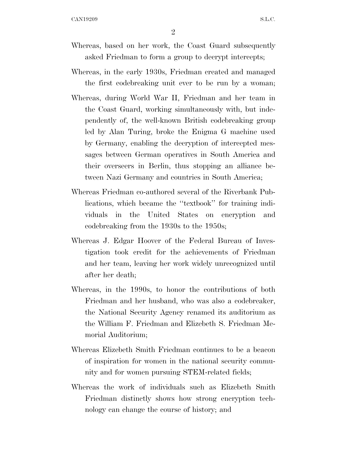2

- Whereas, based on her work, the Coast Guard subsequently asked Friedman to form a group to decrypt intercepts;
- Whereas, in the early 1930s, Friedman created and managed the first codebreaking unit ever to be run by a woman;
- Whereas, during World War II, Friedman and her team in the Coast Guard, working simultaneously with, but independently of, the well-known British codebreaking group led by Alan Turing, broke the Enigma G machine used by Germany, enabling the decryption of intercepted messages between German operatives in South America and their overseers in Berlin, thus stopping an alliance between Nazi Germany and countries in South America;
- Whereas Friedman co-authored several of the Riverbank Publications, which became the ''textbook'' for training individuals in the United States on encryption and codebreaking from the 1930s to the 1950s;
- Whereas J. Edgar Hoover of the Federal Bureau of Investigation took credit for the achievements of Friedman and her team, leaving her work widely unrecognized until after her death;
- Whereas, in the 1990s, to honor the contributions of both Friedman and her husband, who was also a codebreaker, the National Security Agency renamed its auditorium as the William F. Friedman and Elizebeth S. Friedman Memorial Auditorium;
- Whereas Elizebeth Smith Friedman continues to be a beacon of inspiration for women in the national security community and for women pursuing STEM-related fields;
- Whereas the work of individuals such as Elizebeth Smith Friedman distinctly shows how strong encryption technology can change the course of history; and